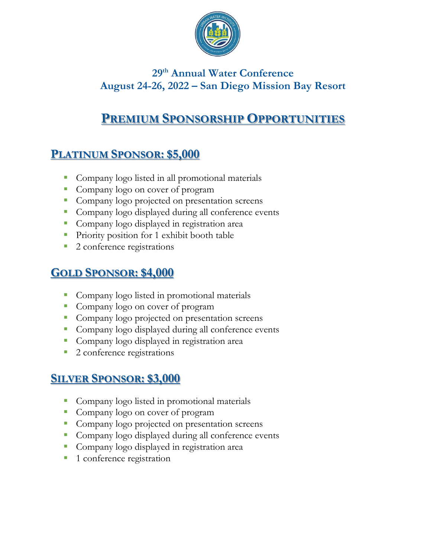

### **29 th Annual Water Conference August 24-26, 2022 – San Diego Mission Bay Resort**

# **PREMIUM SPONSORSHIP OPPORTUNITIES**

## **PLATINUM SPONSOR: \$5,000**

- Company logo listed in all promotional materials
- Company logo on cover of program
- **•** Company logo projected on presentation screens
- Company logo displayed during all conference events
- Company logo displayed in registration area
- Priority position for 1 exhibit booth table
- 2 conference registrations

#### **GOLD SPONSOR: \$4,000**

- Company logo listed in promotional materials
- Company logo on cover of program
- Company logo projected on presentation screens
- Company logo displayed during all conference events
- Company logo displayed in registration area
- 2 conference registrations

#### **SILVER SPONSOR: \$3,000**

- Company logo listed in promotional materials
- Company logo on cover of program
- **Company logo projected on presentation screens**
- Company logo displayed during all conference events
- Company logo displayed in registration area
- 1 conference registration